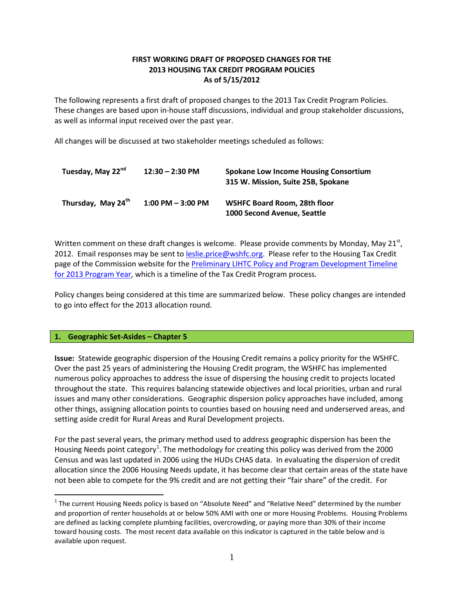# **FIRST WORKING DRAFT OF PROPOSED CHANGES FOR THE 2013 HOUSING TAX CREDIT PROGRAM POLICIES As of 5/15/2012**

The following represents a first draft of proposed changes to the 2013 Tax Credit Program Policies. These changes are based upon in-house staff discussions, individual and group stakeholder discussions, as well as informal input received over the past year.

All changes will be discussed at two stakeholder meetings scheduled as follows:

| Tuesday, May 22 <sup>nd</sup>  | $12:30 - 2:30$ PM    | <b>Spokane Low Income Housing Consortium</b><br>315 W. Mission, Suite 25B, Spokane |  |  |
|--------------------------------|----------------------|------------------------------------------------------------------------------------|--|--|
| Thursday, May 24 <sup>th</sup> | $1:00$ PM $-3:00$ PM | <b>WSHFC Board Room, 28th floor</b><br>1000 Second Avenue. Seattle                 |  |  |

Written comment on these draft changes is welcome. Please provide comments by Monday, May 21 $^{st}$ , 2012. Email responses may be sent t[o leslie.price@wshfc.org.](mailto:leslie.price@wshfc.org) Please refer to the Housing Tax Credit page of the Commission website for th[e Preliminary LIHTC Policy and Program Development Timeline](http://www.wshfc.org/tax-credits/2013_timeline.pdf)  [for 2013 Program Year,](http://www.wshfc.org/tax-credits/2013_timeline.pdf) which is a timeline of the Tax Credit Program process.

Policy changes being considered at this time are summarized below. These policy changes are intended to go into effect for the 2013 allocation round.

## **1. Geographic Set-Asides – Chapter 5**

**Issue:** Statewide geographic dispersion of the Housing Credit remains a policy priority for the WSHFC. Over the past 25 years of administering the Housing Credit program, the WSHFC has implemented numerous policy approaches to address the issue of dispersing the housing credit to projects located throughout the state. This requires balancing statewide objectives and local priorities, urban and rural issues and many other considerations. Geographic dispersion policy approaches have included, among other things, assigning allocation points to counties based on housing need and underserved areas, and setting aside credit for Rural Areas and Rural Development projects.

For the past several years, the primary method used to address geographic dispersion has been the Housing Needs point category<sup>[1](#page-0-0)</sup>. The methodology for creating this policy was derived from the 2000 Census and was last updated in 2006 using the HUDs CHAS data. In evaluating the dispersion of credit allocation since the 2006 Housing Needs update, it has become clear that certain areas of the state have not been able to compete for the 9% credit and are not getting their "fair share" of the credit. For

<span id="page-0-0"></span> $1$  The current Housing Needs policy is based on "Absolute Need" and "Relative Need" determined by the number and proportion of renter households at or below 50% AMI with one or more Housing Problems. Housing Problems are defined as lacking complete plumbing facilities, overcrowding, or paying more than 30% of their income toward housing costs. The most recent data available on this indicator is captured in the table below and is available upon request.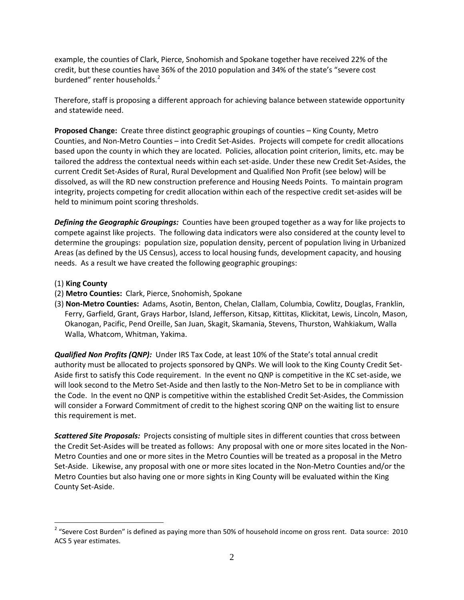example, the counties of Clark, Pierce, Snohomish and Spokane together have received 22% of the credit, but these counties have 36% of the 2010 population and 34% of the state's "severe cost burdened" renter households.<sup>[2](#page-1-0)</sup>

Therefore, staff is proposing a different approach for achieving balance between statewide opportunity and statewide need.

**Proposed Change:** Create three distinct geographic groupings of counties – King County, Metro Counties, and Non-Metro Counties – into Credit Set-Asides. Projects will compete for credit allocations based upon the county in which they are located. Policies, allocation point criterion, limits, etc. may be tailored the address the contextual needs within each set-aside. Under these new Credit Set-Asides, the current Credit Set-Asides of Rural, Rural Development and Qualified Non Profit (see below) will be dissolved, as will the RD new construction preference and Housing Needs Points. To maintain program integrity, projects competing for credit allocation within each of the respective credit set-asides will be held to minimum point scoring thresholds.

*Defining the Geographic Groupings:* Counties have been grouped together as a way for like projects to compete against like projects. The following data indicators were also considered at the county level to determine the groupings: population size, population density, percent of population living in Urbanized Areas (as defined by the US Census), access to local housing funds, development capacity, and housing needs. As a result we have created the following geographic groupings:

- (1) **King County**
- (2) **Metro Counties:** Clark, Pierce, Snohomish, Spokane
- (3) **Non-Metro Counties:** Adams, Asotin, Benton, Chelan, Clallam, Columbia, Cowlitz, Douglas, Franklin, Ferry, Garfield, Grant, Grays Harbor, Island, Jefferson, Kitsap, Kittitas, Klickitat, Lewis, Lincoln, Mason, Okanogan, Pacific, Pend Oreille, San Juan, Skagit, Skamania, Stevens, Thurston, Wahkiakum, Walla Walla, Whatcom, Whitman, Yakima.

*Qualified Non Profits (QNP):* Under IRS Tax Code, at least 10% of the State's total annual credit authority must be allocated to projects sponsored by QNPs. We will look to the King County Credit Set-Aside first to satisfy this Code requirement. In the event no QNP is competitive in the KC set-aside, we will look second to the Metro Set-Aside and then lastly to the Non-Metro Set to be in compliance with the Code. In the event no QNP is competitive within the established Credit Set-Asides, the Commission will consider a Forward Commitment of credit to the highest scoring QNP on the waiting list to ensure this requirement is met.

*Scattered Site Proposals:* Projects consisting of multiple sites in different counties that cross between the Credit Set-Asides will be treated as follows: Any proposal with one or more sites located in the Non-Metro Counties and one or more sites in the Metro Counties will be treated as a proposal in the Metro Set-Aside. Likewise, any proposal with one or more sites located in the Non-Metro Counties and/or the Metro Counties but also having one or more sights in King County will be evaluated within the King County Set-Aside.

<span id="page-1-0"></span><sup>&</sup>lt;sup>2</sup> "Severe Cost Burden" is defined as paying more than 50% of household income on gross rent. Data source: 2010 ACS 5 year estimates.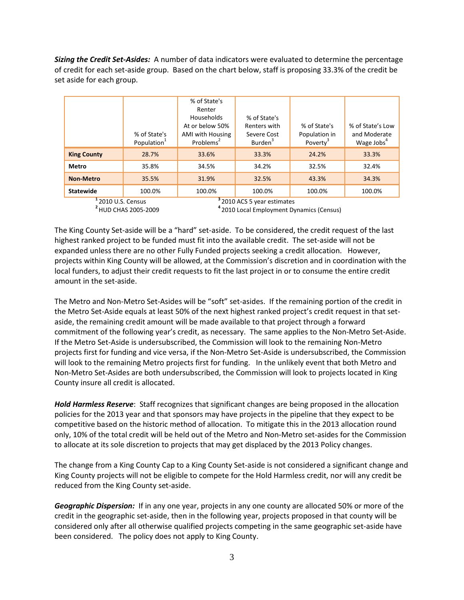*Sizing the Credit Set-Asides:* A number of data indicators were evaluated to determine the percentage of credit for each set-aside group. Based on the chart below, staff is proposing 33.3% of the credit be set aside for each group.

|                    | % of State's<br>Population <sup>1</sup> | % of State's<br>Renter<br><b>Households</b><br>At or below 50%<br>AMI with Housing<br>Problems <sup>2</sup> | % of State's<br>Renters with<br>Severe Cost<br>Burden <sup>3</sup> | % of State's<br>Population in<br>Poverty <sup>3</sup> | % of State's Low<br>and Moderate<br>Wage Jobs <sup>4</sup> |
|--------------------|-----------------------------------------|-------------------------------------------------------------------------------------------------------------|--------------------------------------------------------------------|-------------------------------------------------------|------------------------------------------------------------|
| <b>King County</b> | 28.7%                                   | 33.6%                                                                                                       | 33.3%                                                              | 24.2%                                                 | 33.3%                                                      |
| Metro              | 35.8%                                   | 34.5%                                                                                                       | 34.2%                                                              | 32.5%                                                 | 32.4%                                                      |
| <b>Non-Metro</b>   | 35.5%                                   | 31.9%                                                                                                       | 32.5%                                                              | 43.3%                                                 | 34.3%                                                      |
| <b>Statewide</b>   | 100.0%                                  | 100.0%                                                                                                      | 100.0%                                                             | 100.0%                                                | 100.0%                                                     |
| $12010115$ Concus  |                                         | $32010$ ACS 5 year estimates                                                                                |                                                                    |                                                       |                                                            |

**<sup>1</sup>**2010 U.S. Census **<sup>3</sup>**2010 ACS 5 year estimates **<sup>2</sup>**HUD CHAS 2005-2009 **<sup>4</sup>**2010 Local Employment Dynamics (Census)

The King County Set-aside will be a "hard" set-aside. To be considered, the credit request of the last highest ranked project to be funded must fit into the available credit. The set-aside will not be expanded unless there are no other Fully Funded projects seeking a credit allocation. However, projects within King County will be allowed, at the Commission's discretion and in coordination with the local funders, to adjust their credit requests to fit the last project in or to consume the entire credit amount in the set-aside.

The Metro and Non-Metro Set-Asides will be "soft" set-asides. If the remaining portion of the credit in the Metro Set-Aside equals at least 50% of the next highest ranked project's credit request in that setaside, the remaining credit amount will be made available to that project through a forward commitment of the following year's credit, as necessary. The same applies to the Non-Metro Set-Aside. If the Metro Set-Aside is undersubscribed, the Commission will look to the remaining Non-Metro projects first for funding and vice versa, if the Non-Metro Set-Aside is undersubscribed, the Commission will look to the remaining Metro projects first for funding. In the unlikely event that both Metro and Non-Metro Set-Asides are both undersubscribed, the Commission will look to projects located in King County insure all credit is allocated.

*Hold Harmless Reserve*: Staff recognizes that significant changes are being proposed in the allocation policies for the 2013 year and that sponsors may have projects in the pipeline that they expect to be competitive based on the historic method of allocation. To mitigate this in the 2013 allocation round only, 10% of the total credit will be held out of the Metro and Non-Metro set-asides for the Commission to allocate at its sole discretion to projects that may get displaced by the 2013 Policy changes.

The change from a King County Cap to a King County Set-aside is not considered a significant change and King County projects will not be eligible to compete for the Hold Harmless credit, nor will any credit be reduced from the King County set-aside.

*Geographic Dispersion:* If in any one year, projects in any one county are allocated 50% or more of the credit in the geographic set-aside, then in the following year, projects proposed in that county will be considered only after all otherwise qualified projects competing in the same geographic set-aside have been considered. The policy does not apply to King County.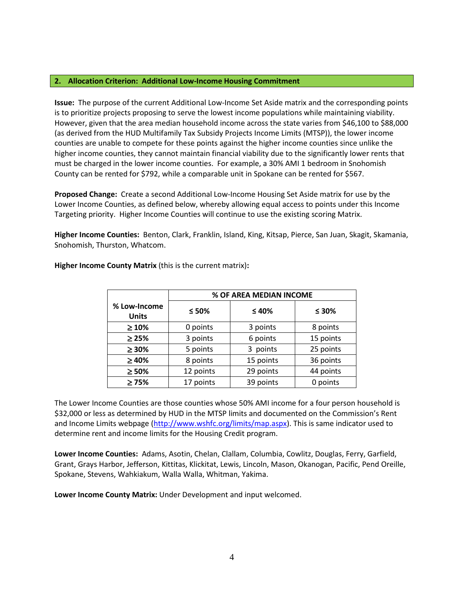### **2. Allocation Criterion: Additional Low-Income Housing Commitment**

**Issue:** The purpose of the current Additional Low-Income Set Aside matrix and the corresponding points is to prioritize projects proposing to serve the lowest income populations while maintaining viability. However, given that the area median household income across the state varies from \$46,100 to \$88,000 (as derived from the HUD Multifamily Tax Subsidy Projects Income Limits (MTSP)), the lower income counties are unable to compete for these points against the higher income counties since unlike the higher income counties, they cannot maintain financial viability due to the significantly lower rents that must be charged in the lower income counties. For example, a 30% AMI 1 bedroom in Snohomish County can be rented for \$792, while a comparable unit in Spokane can be rented for \$567.

**Proposed Change:** Create a second Additional Low-Income Housing Set Aside matrix for use by the Lower Income Counties, as defined below, whereby allowing equal access to points under this Income Targeting priority. Higher Income Counties will continue to use the existing scoring Matrix.

**Higher Income Counties:** Benton, Clark, Franklin, Island, King, Kitsap, Pierce, San Juan, Skagit, Skamania, Snohomish, Thurston, Whatcom.

|                              | % OF AREA MEDIAN INCOME |           |           |  |
|------------------------------|-------------------------|-----------|-----------|--|
| % Low-Income<br><b>Units</b> | $≤ 50%$                 | $≤ 40%$   | $≤ 30%$   |  |
| $\geq 10\%$                  | 0 points                | 3 points  | 8 points  |  |
| $\geq$ 25%                   | 3 points                | 6 points  | 15 points |  |
| $\geq$ 30%                   | 5 points                | 3 points  | 25 points |  |
| $\geq 40\%$                  | 8 points                | 15 points | 36 points |  |
| $\geq 50\%$                  | 12 points               | 29 points | 44 points |  |
| $\geq 75\%$                  | 17 points               | 39 points | 0 points  |  |

**Higher Income County Matrix** (this is the current matrix)**:**

The Lower Income Counties are those counties whose 50% AMI income for a four person household is \$32,000 or less as determined by HUD in the MTSP limits and documented on the Commission's Rent and Income Limits webpage [\(http://www.wshfc.org/limits/map.aspx\)](http://www.wshfc.org/limits/map.aspx). This is same indicator used to determine rent and income limits for the Housing Credit program.

**Lower Income Counties:** Adams, Asotin, Chelan, Clallam, Columbia, Cowlitz, Douglas, Ferry, Garfield, Grant, Grays Harbor, Jefferson, Kittitas, Klickitat, Lewis, Lincoln, Mason, Okanogan, Pacific, Pend Oreille, Spokane, Stevens, Wahkiakum, Walla Walla, Whitman, Yakima.

**Lower Income County Matrix:** Under Development and input welcomed.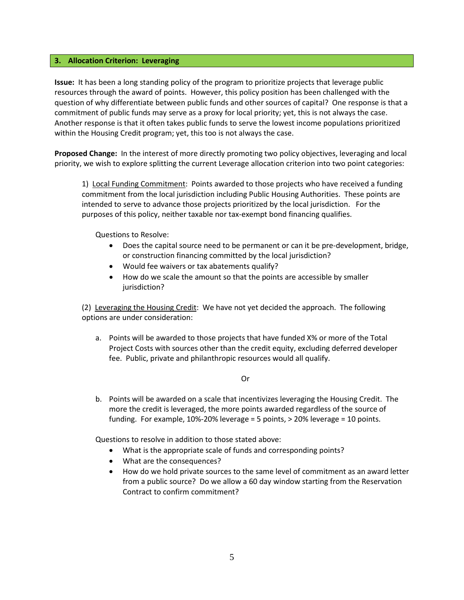### **3. Allocation Criterion: Leveraging**

**Issue:** It has been a long standing policy of the program to prioritize projects that leverage public resources through the award of points. However, this policy position has been challenged with the question of why differentiate between public funds and other sources of capital? One response is that a commitment of public funds may serve as a proxy for local priority; yet, this is not always the case. Another response is that it often takes public funds to serve the lowest income populations prioritized within the Housing Credit program; yet, this too is not always the case.

**Proposed Change:** In the interest of more directly promoting two policy objectives, leveraging and local priority, we wish to explore splitting the current Leverage allocation criterion into two point categories:

1) Local Funding Commitment: Points awarded to those projects who have received a funding commitment from the local jurisdiction including Public Housing Authorities. These points are intended to serve to advance those projects prioritized by the local jurisdiction. For the purposes of this policy, neither taxable nor tax-exempt bond financing qualifies.

Questions to Resolve:

- Does the capital source need to be permanent or can it be pre-development, bridge, or construction financing committed by the local jurisdiction?
- Would fee waivers or tax abatements qualify?
- How do we scale the amount so that the points are accessible by smaller jurisdiction?

(2) Leveraging the Housing Credit: We have not yet decided the approach. The following options are under consideration:

a. Points will be awarded to those projects that have funded X% or more of the Total Project Costs with sources other than the credit equity, excluding deferred developer fee. Public, private and philanthropic resources would all qualify.

### Or

b. Points will be awarded on a scale that incentivizes leveraging the Housing Credit. The more the credit is leveraged, the more points awarded regardless of the source of funding. For example, 10%-20% leverage = 5 points, > 20% leverage = 10 points.

Questions to resolve in addition to those stated above:

- What is the appropriate scale of funds and corresponding points?
- What are the consequences?
- How do we hold private sources to the same level of commitment as an award letter from a public source? Do we allow a 60 day window starting from the Reservation Contract to confirm commitment?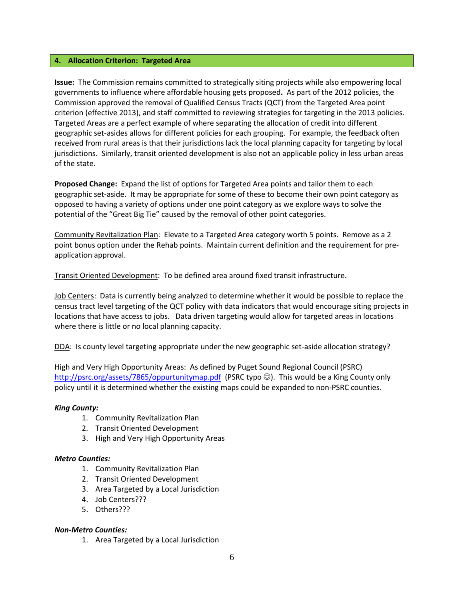### **4. Allocation Criterion: Targeted Area**

**Issue:** The Commission remains committed to strategically siting projects while also empowering local governments to influence where affordable housing gets proposed**.** As part of the 2012 policies, the Commission approved the removal of Qualified Census Tracts (QCT) from the Targeted Area point criterion (effective 2013), and staff committed to reviewing strategies for targeting in the 2013 policies. Targeted Areas are a perfect example of where separating the allocation of credit into different geographic set-asides allows for different policies for each grouping. For example, the feedback often received from rural areas is that their jurisdictions lack the local planning capacity for targeting by local jurisdictions. Similarly, transit oriented development is also not an applicable policy in less urban areas of the state.

**Proposed Change:** Expand the list of options for Targeted Area points and tailor them to each geographic set-aside. It may be appropriate for some of these to become their own point category as opposed to having a variety of options under one point category as we explore ways to solve the potential of the "Great Big Tie" caused by the removal of other point categories.

Community Revitalization Plan: Elevate to a Targeted Area category worth 5 points. Remove as a 2 point bonus option under the Rehab points. Maintain current definition and the requirement for preapplication approval.

Transit Oriented Development: To be defined area around fixed transit infrastructure.

Job Centers: Data is currently being analyzed to determine whether it would be possible to replace the census tract level targeting of the QCT policy with data indicators that would encourage siting projects in locations that have access to jobs. Data driven targeting would allow for targeted areas in locations where there is little or no local planning capacity.

DDA: Is county level targeting appropriate under the new geographic set-aside allocation strategy?

High and Very High Opportunity Areas: As defined by Puget Sound Regional Council (PSRC) <http://psrc.org/assets/7865/oppurtunitymap.pdf>(PSRC typo  $\odot$ ). This would be a King County only policy until it is determined whether the existing maps could be expanded to non-PSRC counties.

### *King County:*

- 1. Community Revitalization Plan
- 2. Transit Oriented Development
- 3. High and Very High Opportunity Areas

### *Metro Counties:*

- 1. Community Revitalization Plan
- 2. Transit Oriented Development
- 3. Area Targeted by a Local Jurisdiction
- 4. Job Centers???
- 5. Others???

### *Non-Metro Counties:*

1. Area Targeted by a Local Jurisdiction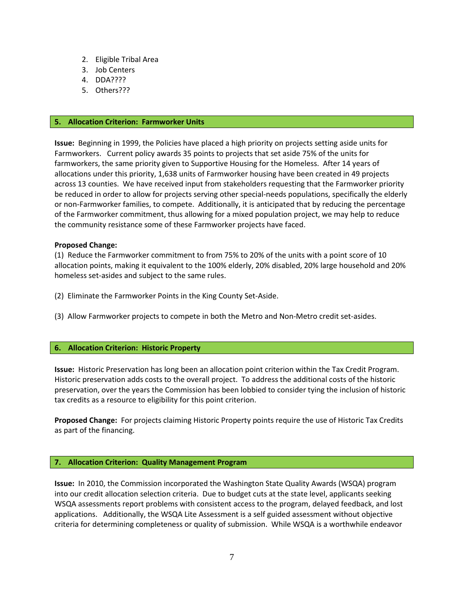- 2. Eligible Tribal Area
- 3. Job Centers
- 4. DDA????
- 5. Others???

### **5. Allocation Criterion: Farmworker Units**

**Issue:** Beginning in 1999, the Policies have placed a high priority on projects setting aside units for Farmworkers. Current policy awards 35 points to projects that set aside 75% of the units for farmworkers, the same priority given to Supportive Housing for the Homeless. After 14 years of allocations under this priority, 1,638 units of Farmworker housing have been created in 49 projects across 13 counties. We have received input from stakeholders requesting that the Farmworker priority be reduced in order to allow for projects serving other special-needs populations, specifically the elderly or non-Farmworker families, to compete. Additionally, it is anticipated that by reducing the percentage of the Farmworker commitment, thus allowing for a mixed population project, we may help to reduce the community resistance some of these Farmworker projects have faced.

### **Proposed Change:**

(1) Reduce the Farmworker commitment to from 75% to 20% of the units with a point score of 10 allocation points, making it equivalent to the 100% elderly, 20% disabled, 20% large household and 20% homeless set-asides and subject to the same rules.

- (2) Eliminate the Farmworker Points in the King County Set-Aside.
- (3) Allow Farmworker projects to compete in both the Metro and Non-Metro credit set-asides.

## **6. Allocation Criterion: Historic Property**

**Issue:** Historic Preservation has long been an allocation point criterion within the Tax Credit Program. Historic preservation adds costs to the overall project. To address the additional costs of the historic preservation, over the years the Commission has been lobbied to consider tying the inclusion of historic tax credits as a resource to eligibility for this point criterion.

**Proposed Change:** For projects claiming Historic Property points require the use of Historic Tax Credits as part of the financing.

### **7. Allocation Criterion: Quality Management Program**

**Issue:** In 2010, the Commission incorporated the Washington State Quality Awards (WSQA) program into our credit allocation selection criteria. Due to budget cuts at the state level, applicants seeking WSQA assessments report problems with consistent access to the program, delayed feedback, and lost applications. Additionally, the WSQA Lite Assessment is a self guided assessment without objective criteria for determining completeness or quality of submission. While WSQA is a worthwhile endeavor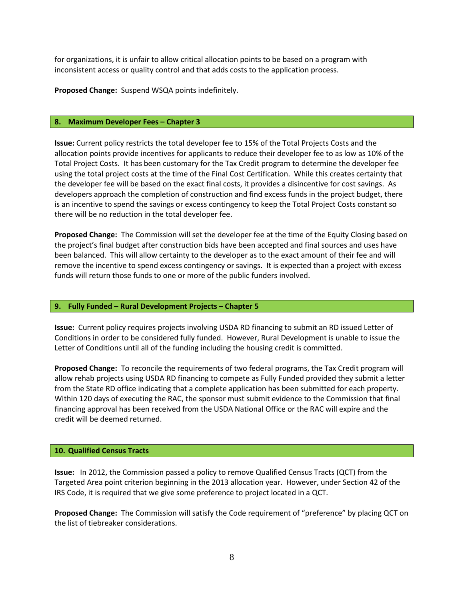for organizations, it is unfair to allow critical allocation points to be based on a program with inconsistent access or quality control and that adds costs to the application process.

**Proposed Change:** Suspend WSQA points indefinitely.

### **8. Maximum Developer Fees – Chapter 3**

**Issue:** Current policy restricts the total developer fee to 15% of the Total Projects Costs and the allocation points provide incentives for applicants to reduce their developer fee to as low as 10% of the Total Project Costs. It has been customary for the Tax Credit program to determine the developer fee using the total project costs at the time of the Final Cost Certification. While this creates certainty that the developer fee will be based on the exact final costs, it provides a disincentive for cost savings. As developers approach the completion of construction and find excess funds in the project budget, there is an incentive to spend the savings or excess contingency to keep the Total Project Costs constant so there will be no reduction in the total developer fee.

**Proposed Change:** The Commission will set the developer fee at the time of the Equity Closing based on the project's final budget after construction bids have been accepted and final sources and uses have been balanced. This will allow certainty to the developer as to the exact amount of their fee and will remove the incentive to spend excess contingency or savings. It is expected than a project with excess funds will return those funds to one or more of the public funders involved.

### **9. Fully Funded – Rural Development Projects – Chapter 5**

**Issue:** Current policy requires projects involving USDA RD financing to submit an RD issued Letter of Conditions in order to be considered fully funded. However, Rural Development is unable to issue the Letter of Conditions until all of the funding including the housing credit is committed.

**Proposed Change:** To reconcile the requirements of two federal programs, the Tax Credit program will allow rehab projects using USDA RD financing to compete as Fully Funded provided they submit a letter from the State RD office indicating that a complete application has been submitted for each property. Within 120 days of executing the RAC, the sponsor must submit evidence to the Commission that final financing approval has been received from the USDA National Office or the RAC will expire and the credit will be deemed returned.

### **10. Qualified Census Tracts**

**Issue:** In 2012, the Commission passed a policy to remove Qualified Census Tracts (QCT) from the Targeted Area point criterion beginning in the 2013 allocation year. However, under Section 42 of the IRS Code, it is required that we give some preference to project located in a QCT.

**Proposed Change:** The Commission will satisfy the Code requirement of "preference" by placing QCT on the list of tiebreaker considerations.